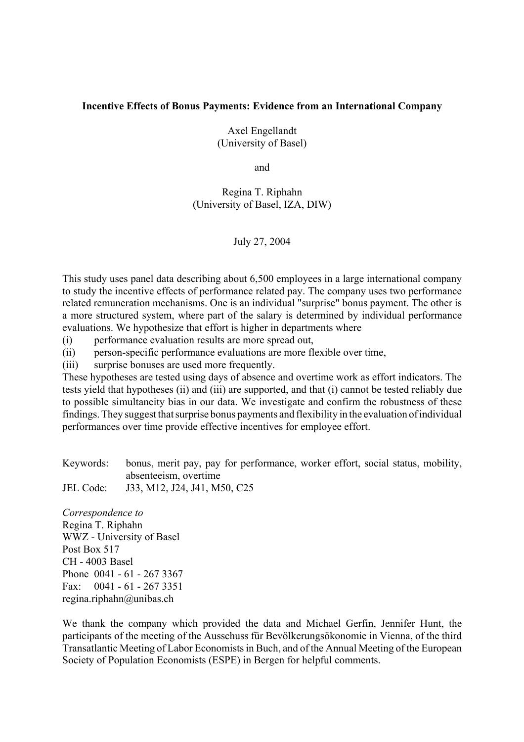### **Incentive Effects of Bonus Payments: Evidence from an International Company**

Axel Engellandt (University of Basel)

and

Regina T. Riphahn (University of Basel, IZA, DIW)

## July 27, 2004

This study uses panel data describing about 6,500 employees in a large international company to study the incentive effects of performance related pay. The company uses two performance related remuneration mechanisms. One is an individual "surprise" bonus payment. The other is a more structured system, where part of the salary is determined by individual performance evaluations. We hypothesize that effort is higher in departments where

- (i) performance evaluation results are more spread out,
- (ii) person-specific performance evaluations are more flexible over time,
- (iii) surprise bonuses are used more frequently.

These hypotheses are tested using days of absence and overtime work as effort indicators. The tests yield that hypotheses (ii) and (iii) are supported, and that (i) cannot be tested reliably due to possible simultaneity bias in our data. We investigate and confirm the robustness of these findings. They suggest that surprise bonus payments and flexibility in the evaluation of individual performances over time provide effective incentives for employee effort.

Keywords: bonus, merit pay, pay for performance, worker effort, social status, mobility, absenteeism, overtime JEL Code: J33, M12, J24, J41, M50, C25

*Correspondence to* Regina T. Riphahn WWZ - University of Basel Post Box 517 CH - 4003 Basel Phone 0041 - 61 - 267 3367 Fax: 0041 - 61 - 267 3351 regina.riphahn@unibas.ch

We thank the company which provided the data and Michael Gerfin, Jennifer Hunt, the participants of the meeting of the Ausschuss für Bevölkerungsökonomie in Vienna, of the third Transatlantic Meeting of Labor Economists in Buch, and of the Annual Meeting of the European Society of Population Economists (ESPE) in Bergen for helpful comments.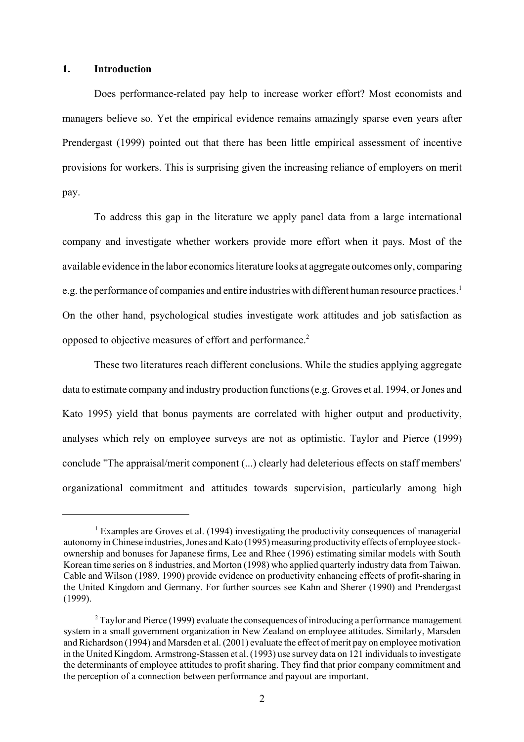#### **1. Introduction**

Does performance-related pay help to increase worker effort? Most economists and managers believe so. Yet the empirical evidence remains amazingly sparse even years after Prendergast (1999) pointed out that there has been little empirical assessment of incentive provisions for workers. This is surprising given the increasing reliance of employers on merit pay.

To address this gap in the literature we apply panel data from a large international company and investigate whether workers provide more effort when it pays. Most of the available evidence in the labor economics literature looks at aggregate outcomes only, comparing e.g. the performance of companies and entire industries with different human resource practices.<sup>1</sup> On the other hand, psychological studies investigate work attitudes and job satisfaction as opposed to objective measures of effort and performance.2

These two literatures reach different conclusions. While the studies applying aggregate data to estimate company and industry production functions (e.g. Groves et al. 1994, or Jones and Kato 1995) yield that bonus payments are correlated with higher output and productivity, analyses which rely on employee surveys are not as optimistic. Taylor and Pierce (1999) conclude "The appraisal/merit component (...) clearly had deleterious effects on staff members' organizational commitment and attitudes towards supervision, particularly among high

<sup>&</sup>lt;sup>1</sup> Examples are Groves et al. (1994) investigating the productivity consequences of managerial autonomy in Chinese industries, Jones and Kato (1995) measuring productivity effects of employee stockownership and bonuses for Japanese firms, Lee and Rhee (1996) estimating similar models with South Korean time series on 8 industries, and Morton (1998) who applied quarterly industry data from Taiwan. Cable and Wilson (1989, 1990) provide evidence on productivity enhancing effects of profit-sharing in the United Kingdom and Germany. For further sources see Kahn and Sherer (1990) and Prendergast (1999).

 $2^2$  Taylor and Pierce (1999) evaluate the consequences of introducing a performance management system in a small government organization in New Zealand on employee attitudes. Similarly, Marsden and Richardson (1994) and Marsden et al. (2001) evaluate the effect of merit pay on employee motivation in the United Kingdom. Armstrong-Stassen et al. (1993) use survey data on 121 individuals to investigate the determinants of employee attitudes to profit sharing. They find that prior company commitment and the perception of a connection between performance and payout are important.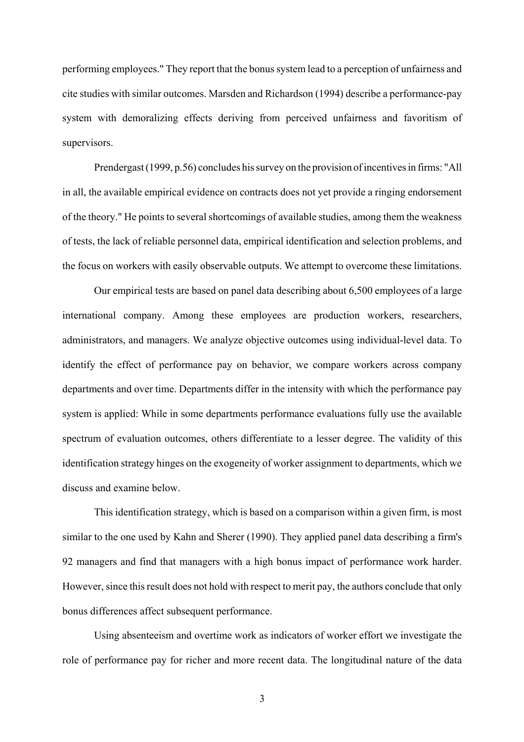performing employees." They report that the bonus system lead to a perception of unfairness and cite studies with similar outcomes. Marsden and Richardson (1994) describe a performance-pay system with demoralizing effects deriving from perceived unfairness and favoritism of supervisors.

Prendergast (1999, p.56) concludes his survey on the provision of incentives in firms: "All in all, the available empirical evidence on contracts does not yet provide a ringing endorsement of the theory." He points to several shortcomings of available studies, among them the weakness of tests, the lack of reliable personnel data, empirical identification and selection problems, and the focus on workers with easily observable outputs. We attempt to overcome these limitations.

Our empirical tests are based on panel data describing about 6,500 employees of a large international company. Among these employees are production workers, researchers, administrators, and managers. We analyze objective outcomes using individual-level data. To identify the effect of performance pay on behavior, we compare workers across company departments and over time. Departments differ in the intensity with which the performance pay system is applied: While in some departments performance evaluations fully use the available spectrum of evaluation outcomes, others differentiate to a lesser degree. The validity of this identification strategy hinges on the exogeneity of worker assignment to departments, which we discuss and examine below.

This identification strategy, which is based on a comparison within a given firm, is most similar to the one used by Kahn and Sherer (1990). They applied panel data describing a firm's 92 managers and find that managers with a high bonus impact of performance work harder. However, since this result does not hold with respect to merit pay, the authors conclude that only bonus differences affect subsequent performance.

Using absenteeism and overtime work as indicators of worker effort we investigate the role of performance pay for richer and more recent data. The longitudinal nature of the data

3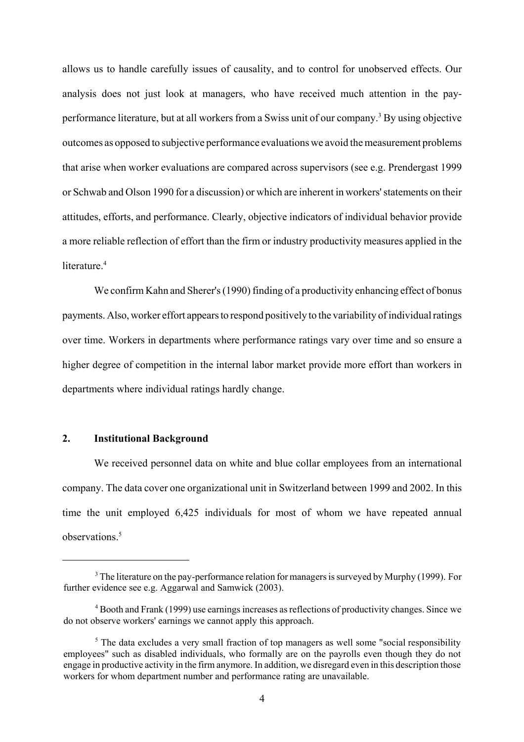allows us to handle carefully issues of causality, and to control for unobserved effects. Our analysis does not just look at managers, who have received much attention in the payperformance literature, but at all workers from a Swiss unit of our company.<sup>3</sup> By using objective outcomes as opposed to subjective performance evaluations we avoid the measurement problems that arise when worker evaluations are compared across supervisors (see e.g. Prendergast 1999 or Schwab and Olson 1990 for a discussion) or which are inherent in workers' statements on their attitudes, efforts, and performance. Clearly, objective indicators of individual behavior provide a more reliable reflection of effort than the firm or industry productivity measures applied in the literature<sup>4</sup>

We confirm Kahn and Sherer's (1990) finding of a productivity enhancing effect of bonus payments. Also, worker effort appears to respond positively to the variability of individual ratings over time. Workers in departments where performance ratings vary over time and so ensure a higher degree of competition in the internal labor market provide more effort than workers in departments where individual ratings hardly change.

## **2. Institutional Background**

We received personnel data on white and blue collar employees from an international company. The data cover one organizational unit in Switzerland between 1999 and 2002. In this time the unit employed 6,425 individuals for most of whom we have repeated annual observations<sup>5</sup>

 $3$  The literature on the pay-performance relation for managers is surveyed by Murphy (1999). For further evidence see e.g. Aggarwal and Samwick (2003).

<sup>&</sup>lt;sup>4</sup> Booth and Frank (1999) use earnings increases as reflections of productivity changes. Since we do not observe workers' earnings we cannot apply this approach.

<sup>&</sup>lt;sup>5</sup> The data excludes a very small fraction of top managers as well some "social responsibility employees" such as disabled individuals, who formally are on the payrolls even though they do not engage in productive activity in the firm anymore. In addition, we disregard even in this description those workers for whom department number and performance rating are unavailable.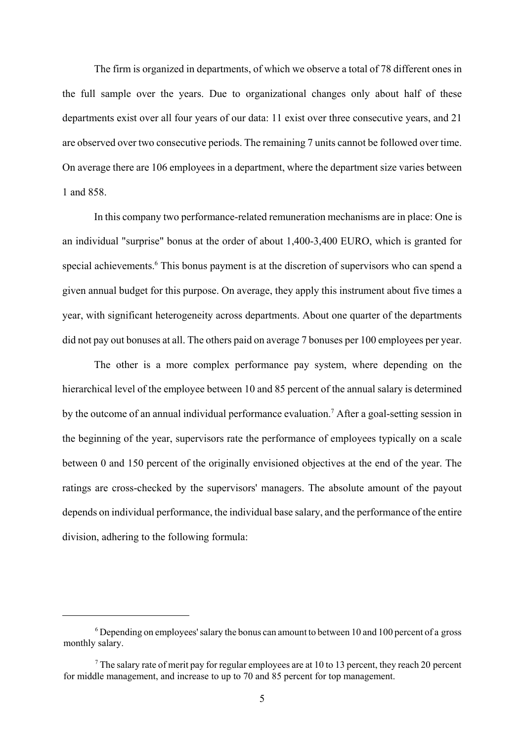The firm is organized in departments, of which we observe a total of 78 different ones in the full sample over the years. Due to organizational changes only about half of these departments exist over all four years of our data: 11 exist over three consecutive years, and 21 are observed over two consecutive periods. The remaining 7 units cannot be followed over time. On average there are 106 employees in a department, where the department size varies between 1 and 858.

In this company two performance-related remuneration mechanisms are in place: One is an individual "surprise" bonus at the order of about 1,400-3,400 EURO, which is granted for special achievements.<sup>6</sup> This bonus payment is at the discretion of supervisors who can spend a given annual budget for this purpose. On average, they apply this instrument about five times a year, with significant heterogeneity across departments. About one quarter of the departments did not pay out bonuses at all. The others paid on average 7 bonuses per 100 employees per year.

The other is a more complex performance pay system, where depending on the hierarchical level of the employee between 10 and 85 percent of the annual salary is determined by the outcome of an annual individual performance evaluation.<sup>7</sup> After a goal-setting session in the beginning of the year, supervisors rate the performance of employees typically on a scale between 0 and 150 percent of the originally envisioned objectives at the end of the year. The ratings are cross-checked by the supervisors' managers. The absolute amount of the payout depends on individual performance, the individual base salary, and the performance of the entire division, adhering to the following formula:

 $6$  Depending on employees' salary the bonus can amount to between 10 and 100 percent of a gross monthly salary.

<sup>&</sup>lt;sup>7</sup> The salary rate of merit pay for regular employees are at 10 to 13 percent, they reach 20 percent for middle management, and increase to up to 70 and 85 percent for top management.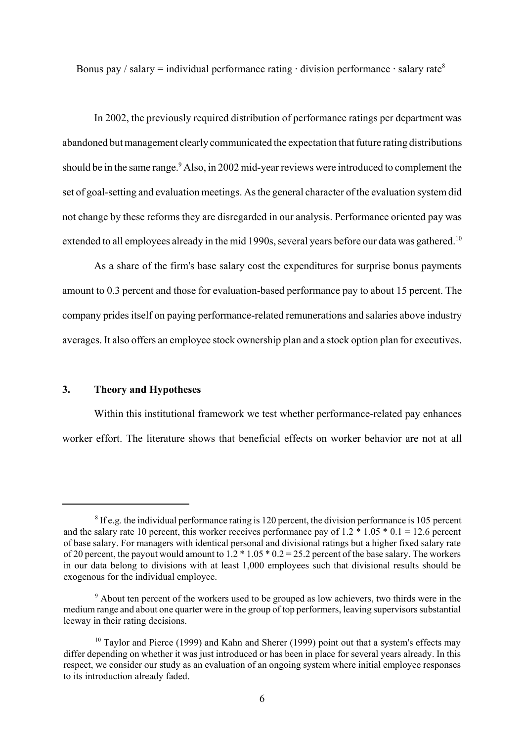Bonus pay / salary = individual performance rating  $\cdot$  division performance  $\cdot$  salary rate<sup>8</sup>

In 2002, the previously required distribution of performance ratings per department was abandoned but management clearly communicated the expectation that future rating distributions should be in the same range.<sup>9</sup> Also, in 2002 mid-year reviews were introduced to complement the set of goal-setting and evaluation meetings. As the general character of the evaluation system did not change by these reforms they are disregarded in our analysis. Performance oriented pay was extended to all employees already in the mid 1990s, several years before our data was gathered.<sup>10</sup>

As a share of the firm's base salary cost the expenditures for surprise bonus payments amount to 0.3 percent and those for evaluation-based performance pay to about 15 percent. The company prides itself on paying performance-related remunerations and salaries above industry averages. It also offers an employee stock ownership plan and a stock option plan for executives.

### **3. Theory and Hypotheses**

Within this institutional framework we test whether performance-related pay enhances worker effort. The literature shows that beneficial effects on worker behavior are not at all

<sup>&</sup>lt;sup>8</sup> If e.g. the individual performance rating is 120 percent, the division performance is 105 percent and the salary rate 10 percent, this worker receives performance pay of 1.2  $*$  1.05  $*$  0.1 = 12.6 percent of base salary. For managers with identical personal and divisional ratings but a higher fixed salary rate of 20 percent, the payout would amount to  $1.2 * 1.05 * 0.2 = 25.2$  percent of the base salary. The workers in our data belong to divisions with at least 1,000 employees such that divisional results should be exogenous for the individual employee.

<sup>&</sup>lt;sup>9</sup> About ten percent of the workers used to be grouped as low achievers, two thirds were in the medium range and about one quarter were in the group of top performers, leaving supervisors substantial leeway in their rating decisions.

<sup>&</sup>lt;sup>10</sup> Taylor and Pierce (1999) and Kahn and Sherer (1999) point out that a system's effects may differ depending on whether it was just introduced or has been in place for several years already. In this respect, we consider our study as an evaluation of an ongoing system where initial employee responses to its introduction already faded.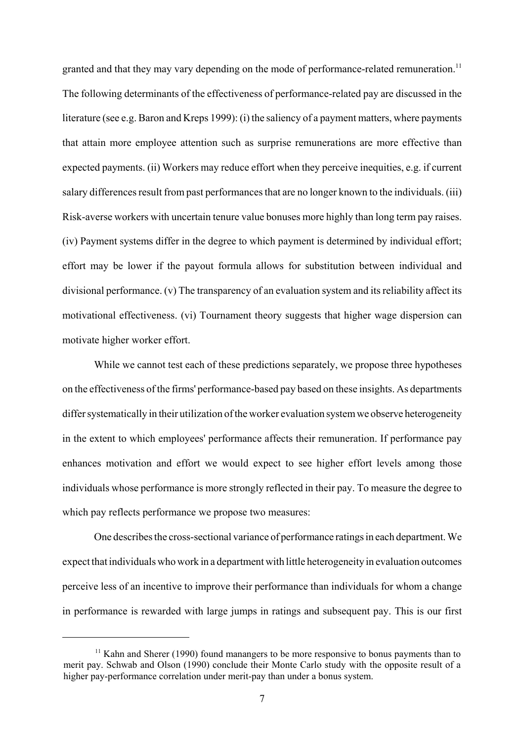granted and that they may vary depending on the mode of performance-related remuneration.<sup>11</sup> The following determinants of the effectiveness of performance-related pay are discussed in the literature (see e.g. Baron and Kreps 1999): (i) the saliency of a payment matters, where payments that attain more employee attention such as surprise remunerations are more effective than expected payments. (ii) Workers may reduce effort when they perceive inequities, e.g. if current salary differences result from past performances that are no longer known to the individuals. (iii) Risk-averse workers with uncertain tenure value bonuses more highly than long term pay raises. (iv) Payment systems differ in the degree to which payment is determined by individual effort; effort may be lower if the payout formula allows for substitution between individual and divisional performance. (v) The transparency of an evaluation system and its reliability affect its motivational effectiveness. (vi) Tournament theory suggests that higher wage dispersion can motivate higher worker effort.

While we cannot test each of these predictions separately, we propose three hypotheses on the effectiveness of the firms' performance-based pay based on these insights. As departments differ systematically in their utilization of the worker evaluation system we observe heterogeneity in the extent to which employees' performance affects their remuneration. If performance pay enhances motivation and effort we would expect to see higher effort levels among those individuals whose performance is more strongly reflected in their pay. To measure the degree to which pay reflects performance we propose two measures:

One describes the cross-sectional variance of performance ratings in each department. We expect that individuals who work in a department with little heterogeneity in evaluation outcomes perceive less of an incentive to improve their performance than individuals for whom a change in performance is rewarded with large jumps in ratings and subsequent pay. This is our first

 $11$  Kahn and Sherer (1990) found manangers to be more responsive to bonus payments than to merit pay. Schwab and Olson (1990) conclude their Monte Carlo study with the opposite result of a higher pay-performance correlation under merit-pay than under a bonus system.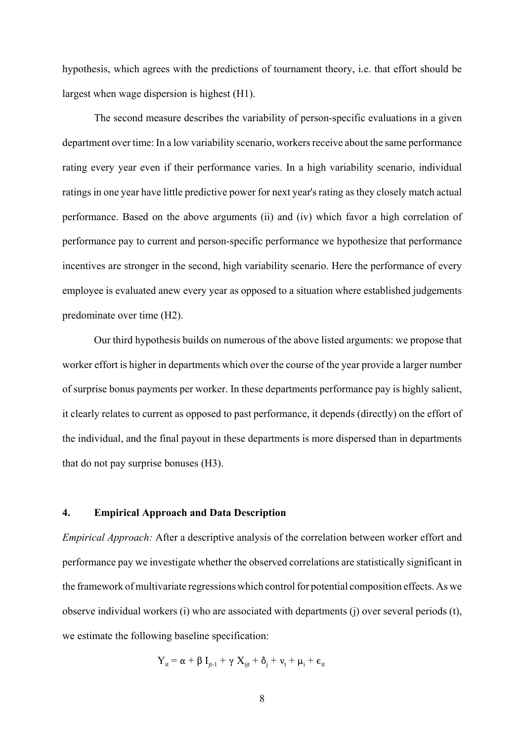hypothesis, which agrees with the predictions of tournament theory, i.e. that effort should be largest when wage dispersion is highest (H1).

The second measure describes the variability of person-specific evaluations in a given department over time: In a low variability scenario, workers receive about the same performance rating every year even if their performance varies. In a high variability scenario, individual ratings in one year have little predictive power for next year's rating as they closely match actual performance. Based on the above arguments (ii) and (iv) which favor a high correlation of performance pay to current and person-specific performance we hypothesize that performance incentives are stronger in the second, high variability scenario. Here the performance of every employee is evaluated anew every year as opposed to a situation where established judgements predominate over time (H2).

Our third hypothesis builds on numerous of the above listed arguments: we propose that worker effort is higher in departments which over the course of the year provide a larger number of surprise bonus payments per worker. In these departments performance pay is highly salient, it clearly relates to current as opposed to past performance, it depends (directly) on the effort of the individual, and the final payout in these departments is more dispersed than in departments that do not pay surprise bonuses (H3).

#### **4. Empirical Approach and Data Description**

*Empirical Approach:* After a descriptive analysis of the correlation between worker effort and performance pay we investigate whether the observed correlations are statistically significant in the framework of multivariate regressions which control for potential composition effects. As we observe individual workers (i) who are associated with departments (j) over several periods (t), we estimate the following baseline specification:

$$
Y_{it} = \alpha + \beta I_{jt\text{-}1} + \gamma X_{ijt} + \delta_j + \nu_t + \mu_i + \varepsilon_{it}
$$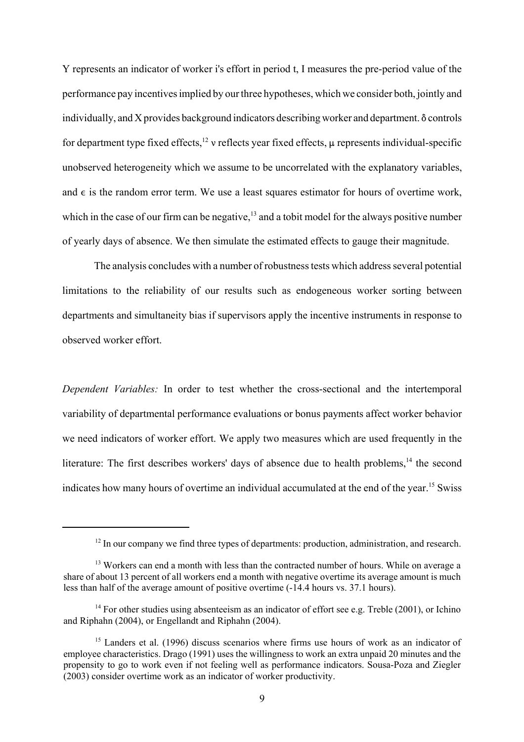Y represents an indicator of worker i's effort in period t, I measures the pre-period value of the performance pay incentives implied by our three hypotheses, which we consider both, jointly and individually, and  $X$  provides background indicators describing worker and department.  $\delta$  controls for department type fixed effects,<sup>12</sup> y reflects year fixed effects, u represents individual-specific unobserved heterogeneity which we assume to be uncorrelated with the explanatory variables, and  $\epsilon$  is the random error term. We use a least squares estimator for hours of overtime work, which in the case of our firm can be negative, $13$  and a tobit model for the always positive number of yearly days of absence. We then simulate the estimated effects to gauge their magnitude.

The analysis concludes with a number of robustness tests which address several potential limitations to the reliability of our results such as endogeneous worker sorting between departments and simultaneity bias if supervisors apply the incentive instruments in response to observed worker effort.

*Dependent Variables:* In order to test whether the cross-sectional and the intertemporal variability of departmental performance evaluations or bonus payments affect worker behavior we need indicators of worker effort. We apply two measures which are used frequently in the literature: The first describes workers' days of absence due to health problems,<sup>14</sup> the second indicates how many hours of overtime an individual accumulated at the end of the year.15 Swiss

<sup>&</sup>lt;sup>12</sup> In our company we find three types of departments: production, administration, and research.

 $13$  Workers can end a month with less than the contracted number of hours. While on average a share of about 13 percent of all workers end a month with negative overtime its average amount is much less than half of the average amount of positive overtime (-14.4 hours vs. 37.1 hours).

 $14$  For other studies using absenteeism as an indicator of effort see e.g. Treble (2001), or Ichino and Riphahn (2004), or Engellandt and Riphahn (2004).

<sup>&</sup>lt;sup>15</sup> Landers et al. (1996) discuss scenarios where firms use hours of work as an indicator of employee characteristics. Drago (1991) uses the willingness to work an extra unpaid 20 minutes and the propensity to go to work even if not feeling well as performance indicators. Sousa-Poza and Ziegler (2003) consider overtime work as an indicator of worker productivity.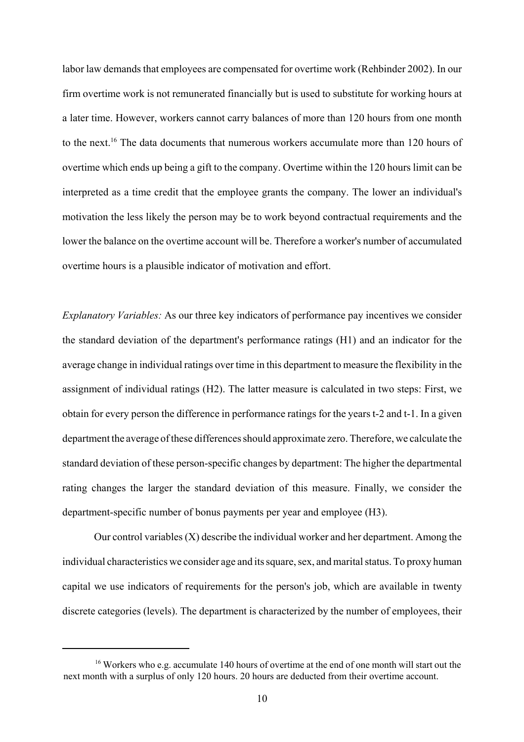labor law demands that employees are compensated for overtime work (Rehbinder 2002). In our firm overtime work is not remunerated financially but is used to substitute for working hours at a later time. However, workers cannot carry balances of more than 120 hours from one month to the next.<sup>16</sup> The data documents that numerous workers accumulate more than 120 hours of overtime which ends up being a gift to the company. Overtime within the 120 hours limit can be interpreted as a time credit that the employee grants the company. The lower an individual's motivation the less likely the person may be to work beyond contractual requirements and the lower the balance on the overtime account will be. Therefore a worker's number of accumulated overtime hours is a plausible indicator of motivation and effort.

*Explanatory Variables:* As our three key indicators of performance pay incentives we consider the standard deviation of the department's performance ratings (H1) and an indicator for the average change in individual ratings over time in this department to measure the flexibility in the assignment of individual ratings (H2). The latter measure is calculated in two steps: First, we obtain for every person the difference in performance ratings for the years t-2 and t-1. In a given department the average of these differences should approximate zero. Therefore, we calculate the standard deviation of these person-specific changes by department: The higher the departmental rating changes the larger the standard deviation of this measure. Finally, we consider the department-specific number of bonus payments per year and employee (H3).

Our control variables  $(X)$  describe the individual worker and her department. Among the individual characteristics we consider age and its square, sex, and marital status. To proxy human capital we use indicators of requirements for the person's job, which are available in twenty discrete categories (levels). The department is characterized by the number of employees, their

<sup>&</sup>lt;sup>16</sup> Workers who e.g. accumulate 140 hours of overtime at the end of one month will start out the next month with a surplus of only 120 hours. 20 hours are deducted from their overtime account.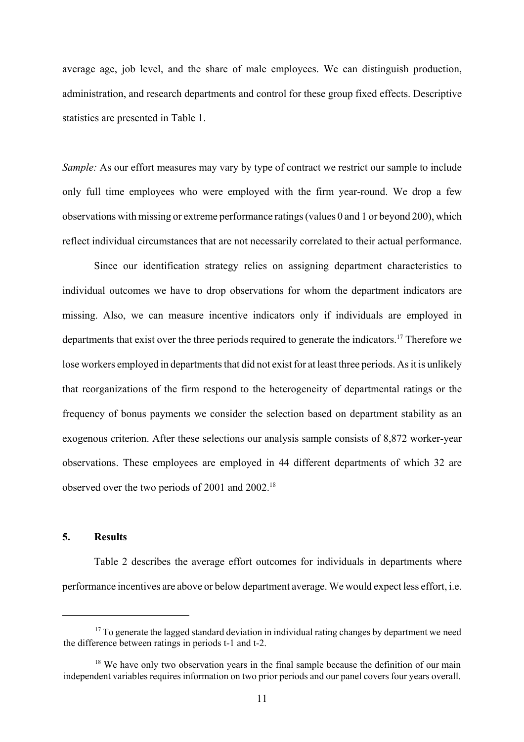average age, job level, and the share of male employees. We can distinguish production, administration, and research departments and control for these group fixed effects. Descriptive statistics are presented in Table 1.

*Sample:* As our effort measures may vary by type of contract we restrict our sample to include only full time employees who were employed with the firm year-round. We drop a few observations with missing or extreme performance ratings (values 0 and 1 or beyond 200), which reflect individual circumstances that are not necessarily correlated to their actual performance.

Since our identification strategy relies on assigning department characteristics to individual outcomes we have to drop observations for whom the department indicators are missing. Also, we can measure incentive indicators only if individuals are employed in departments that exist over the three periods required to generate the indicators.17 Therefore we lose workers employed in departments that did not exist for at least three periods. As it is unlikely that reorganizations of the firm respond to the heterogeneity of departmental ratings or the frequency of bonus payments we consider the selection based on department stability as an exogenous criterion. After these selections our analysis sample consists of 8,872 worker-year observations. These employees are employed in 44 different departments of which 32 are observed over the two periods of 2001 and 2002.18

### **5. Results**

Table 2 describes the average effort outcomes for individuals in departments where performance incentives are above or below department average. We would expect less effort, i.e.

 $17$  To generate the lagged standard deviation in individual rating changes by department we need the difference between ratings in periods t-1 and t-2.

 $18$  We have only two observation years in the final sample because the definition of our main independent variables requires information on two prior periods and our panel covers four years overall.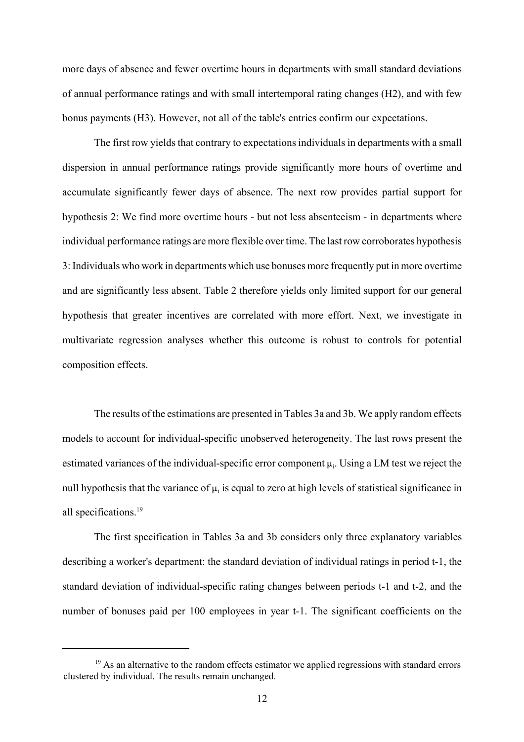more days of absence and fewer overtime hours in departments with small standard deviations of annual performance ratings and with small intertemporal rating changes (H2), and with few bonus payments (H3). However, not all of the table's entries confirm our expectations.

The first row yields that contrary to expectations individuals in departments with a small dispersion in annual performance ratings provide significantly more hours of overtime and accumulate significantly fewer days of absence. The next row provides partial support for hypothesis 2: We find more overtime hours - but not less absenteeism - in departments where individual performance ratings are more flexible over time. The last row corroborates hypothesis 3: Individuals who work in departments which use bonuses more frequently put in more overtime and are significantly less absent. Table 2 therefore yields only limited support for our general hypothesis that greater incentives are correlated with more effort. Next, we investigate in multivariate regression analyses whether this outcome is robust to controls for potential composition effects.

The results of the estimations are presented in Tables 3a and 3b. We apply random effects models to account for individual-specific unobserved heterogeneity. The last rows present the estimated variances of the individual-specific error component  $\mu_i$ . Using a LM test we reject the null hypothesis that the variance of  $\mu_i$  is equal to zero at high levels of statistical significance in all specifications.<sup>19</sup>

The first specification in Tables 3a and 3b considers only three explanatory variables describing a worker's department: the standard deviation of individual ratings in period t-1, the standard deviation of individual-specific rating changes between periods t-1 and t-2, and the number of bonuses paid per 100 employees in year t-1. The significant coefficients on the

 $19$  As an alternative to the random effects estimator we applied regressions with standard errors clustered by individual. The results remain unchanged.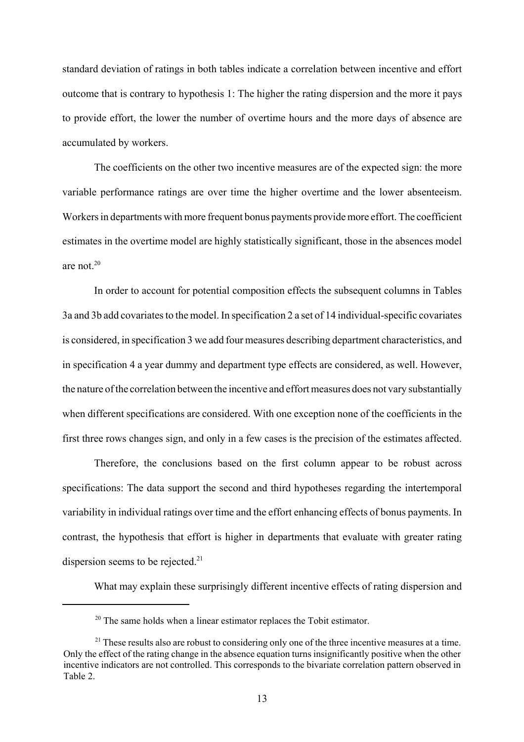standard deviation of ratings in both tables indicate a correlation between incentive and effort outcome that is contrary to hypothesis 1: The higher the rating dispersion and the more it pays to provide effort, the lower the number of overtime hours and the more days of absence are accumulated by workers.

The coefficients on the other two incentive measures are of the expected sign: the more variable performance ratings are over time the higher overtime and the lower absenteeism. Workers in departments with more frequent bonus payments provide more effort. The coefficient estimates in the overtime model are highly statistically significant, those in the absences model are not  $20$ 

In order to account for potential composition effects the subsequent columns in Tables 3a and 3b add covariates to the model. In specification 2 a set of 14 individual-specific covariates is considered, in specification 3 we add four measures describing department characteristics, and in specification 4 a year dummy and department type effects are considered, as well. However, the nature of the correlation between the incentive and effort measures does not vary substantially when different specifications are considered. With one exception none of the coefficients in the first three rows changes sign, and only in a few cases is the precision of the estimates affected.

Therefore, the conclusions based on the first column appear to be robust across specifications: The data support the second and third hypotheses regarding the intertemporal variability in individual ratings over time and the effort enhancing effects of bonus payments. In contrast, the hypothesis that effort is higher in departments that evaluate with greater rating dispersion seems to be rejected. $21$ 

What may explain these surprisingly different incentive effects of rating dispersion and

<sup>&</sup>lt;sup>20</sup> The same holds when a linear estimator replaces the Tobit estimator.

 $21$  These results also are robust to considering only one of the three incentive measures at a time. Only the effect of the rating change in the absence equation turns insignificantly positive when the other incentive indicators are not controlled. This corresponds to the bivariate correlation pattern observed in Table 2.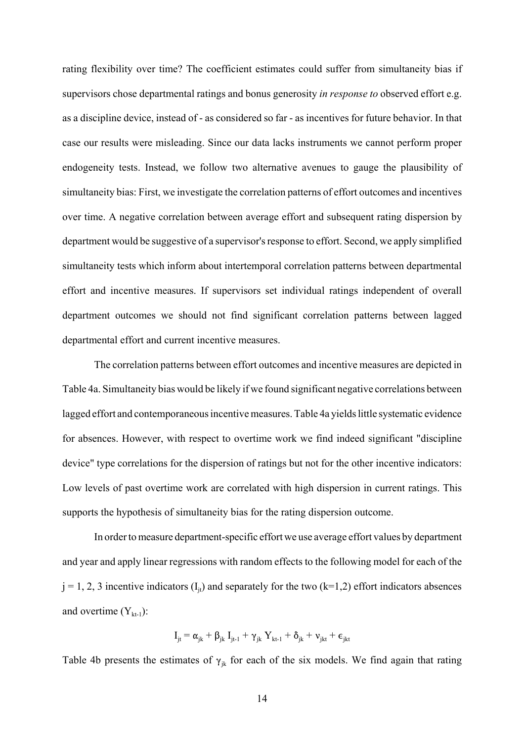rating flexibility over time? The coefficient estimates could suffer from simultaneity bias if supervisors chose departmental ratings and bonus generosity *in response to* observed effort e.g. as a discipline device, instead of - as considered so far - as incentives for future behavior. In that case our results were misleading. Since our data lacks instruments we cannot perform proper endogeneity tests. Instead, we follow two alternative avenues to gauge the plausibility of simultaneity bias: First, we investigate the correlation patterns of effort outcomes and incentives over time. A negative correlation between average effort and subsequent rating dispersion by department would be suggestive of a supervisor's response to effort. Second, we apply simplified simultaneity tests which inform about intertemporal correlation patterns between departmental effort and incentive measures. If supervisors set individual ratings independent of overall department outcomes we should not find significant correlation patterns between lagged departmental effort and current incentive measures.

The correlation patterns between effort outcomes and incentive measures are depicted in Table 4a. Simultaneity bias would be likely if we found significant negative correlations between lagged effort and contemporaneous incentive measures. Table 4a yields little systematic evidence for absences. However, with respect to overtime work we find indeed significant "discipline device" type correlations for the dispersion of ratings but not for the other incentive indicators: Low levels of past overtime work are correlated with high dispersion in current ratings. This supports the hypothesis of simultaneity bias for the rating dispersion outcome.

In order to measure department-specific effort we use average effort values by department and year and apply linear regressions with random effects to the following model for each of the  $j = 1, 2, 3$  incentive indicators  $(I_{it})$  and separately for the two  $(k=1,2)$  effort indicators absences and overtime  $(Y_{kt-1})$ :

$$
I_{jt} = \alpha_{jk} + \beta_{jk}~I_{jt\text{-}1} + \gamma_{jk}~Y_{kt\text{-}1} + \delta_{jk} + \nu_{jkt} + \varepsilon_{jkt}
$$

Table 4b presents the estimates of  $\gamma_{jk}$  for each of the six models. We find again that rating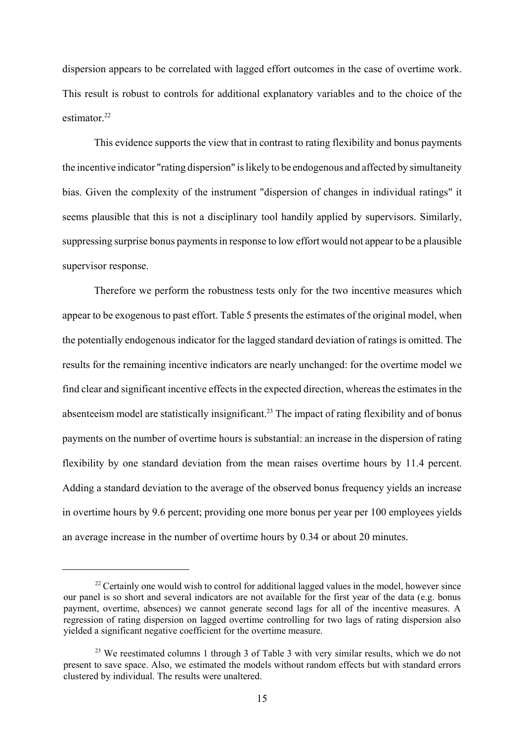dispersion appears to be correlated with lagged effort outcomes in the case of overtime work. This result is robust to controls for additional explanatory variables and to the choice of the estimator. $22$ 

This evidence supports the view that in contrast to rating flexibility and bonus payments the incentive indicator "rating dispersion" is likely to be endogenous and affected by simultaneity bias. Given the complexity of the instrument "dispersion of changes in individual ratings" it seems plausible that this is not a disciplinary tool handily applied by supervisors. Similarly, suppressing surprise bonus payments in response to low effort would not appear to be a plausible supervisor response.

Therefore we perform the robustness tests only for the two incentive measures which appear to be exogenous to past effort. Table 5 presents the estimates of the original model, when the potentially endogenous indicator for the lagged standard deviation of ratings is omitted. The results for the remaining incentive indicators are nearly unchanged: for the overtime model we find clear and significant incentive effects in the expected direction, whereas the estimates in the absenteeism model are statistically insignificant.<sup>23</sup> The impact of rating flexibility and of bonus payments on the number of overtime hours is substantial: an increase in the dispersion of rating flexibility by one standard deviation from the mean raises overtime hours by 11.4 percent. Adding a standard deviation to the average of the observed bonus frequency yields an increase in overtime hours by 9.6 percent; providing one more bonus per year per 100 employees yields an average increase in the number of overtime hours by 0.34 or about 20 minutes.

 $22$  Certainly one would wish to control for additional lagged values in the model, however since our panel is so short and several indicators are not available for the first year of the data (e.g. bonus payment, overtime, absences) we cannot generate second lags for all of the incentive measures. A regression of rating dispersion on lagged overtime controlling for two lags of rating dispersion also yielded a significant negative coefficient for the overtime measure.

 $2<sup>3</sup>$  We reestimated columns 1 through 3 of Table 3 with very similar results, which we do not present to save space. Also, we estimated the models without random effects but with standard errors clustered by individual. The results were unaltered.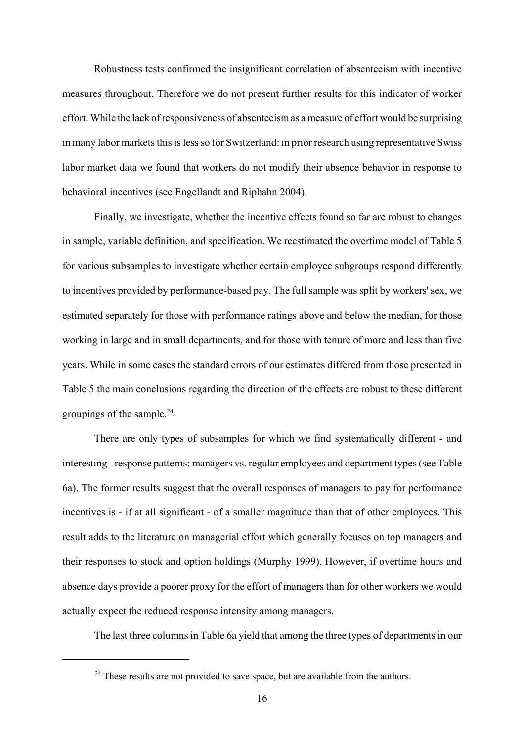Robustness tests confirmed the insignificant correlation of absenteeism with incentive measures throughout. Therefore we do not present further results for this indicator of worker effort. While the lack of responsiveness of absenteeism as a measure of effort would be surprising in many labor markets this is less so for Switzerland: in prior research using representative Swiss labor market data we found that workers do not modify their absence behavior in response to behavioral incentives (see Engellandt and Riphahn 2004).

Finally, we investigate, whether the incentive effects found so far are robust to changes in sample, variable definition, and specification. We reestimated the overtime model of Table 5 for various subsamples to investigate whether certain employee subgroups respond differently to incentives provided by performance-based pay. The full sample was split by workers' sex, we estimated separately for those with performance ratings above and below the median, for those working in large and in small departments, and for those with tenure of more and less than five years. While in some cases the standard errors of our estimates differed from those presented in Table 5 the main conclusions regarding the direction of the effects are robust to these different groupings of the sample. $^{24}$ 

There are only types of subsamples for which we find systematically different - and interesting - response patterns: managers vs. regular employees and department types (see Table 6a). The former results suggest that the overall responses of managers to pay for performance incentives is - if at all significant - of a smaller magnitude than that of other employees. This result adds to the literature on managerial effort which generally focuses on top managers and their responses to stock and option holdings (Murphy 1999). However, if overtime hours and absence days provide a poorer proxy for the effort of managers than for other workers we would actually expect the reduced response intensity among managers.

The last three columns in Table 6a yield that among the three types of departments in our

<sup>&</sup>lt;sup>24</sup> These results are not provided to save space, but are available from the authors.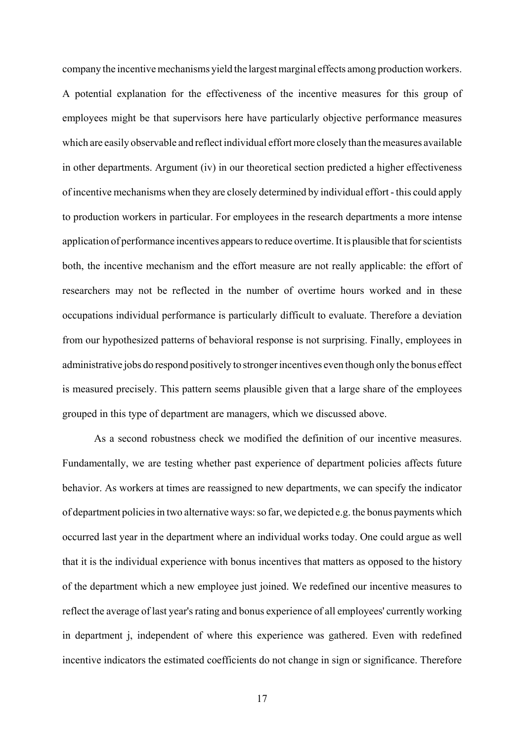company the incentive mechanisms yield the largest marginal effects among production workers. A potential explanation for the effectiveness of the incentive measures for this group of employees might be that supervisors here have particularly objective performance measures which are easily observable and reflect individual effort more closely than the measures available in other departments. Argument (iv) in our theoretical section predicted a higher effectiveness of incentive mechanisms when they are closely determined by individual effort - this could apply to production workers in particular. For employees in the research departments a more intense application of performance incentives appears to reduce overtime. It is plausible that for scientists both, the incentive mechanism and the effort measure are not really applicable: the effort of researchers may not be reflected in the number of overtime hours worked and in these occupations individual performance is particularly difficult to evaluate. Therefore a deviation from our hypothesized patterns of behavioral response is not surprising. Finally, employees in administrative jobs do respond positively to stronger incentives even though only the bonus effect is measured precisely. This pattern seems plausible given that a large share of the employees grouped in this type of department are managers, which we discussed above.

As a second robustness check we modified the definition of our incentive measures. Fundamentally, we are testing whether past experience of department policies affects future behavior. As workers at times are reassigned to new departments, we can specify the indicator of department policies in two alternative ways: so far, we depicted e.g. the bonus payments which occurred last year in the department where an individual works today. One could argue as well that it is the individual experience with bonus incentives that matters as opposed to the history of the department which a new employee just joined. We redefined our incentive measures to reflect the average of last year's rating and bonus experience of all employees' currently working in department j, independent of where this experience was gathered. Even with redefined incentive indicators the estimated coefficients do not change in sign or significance. Therefore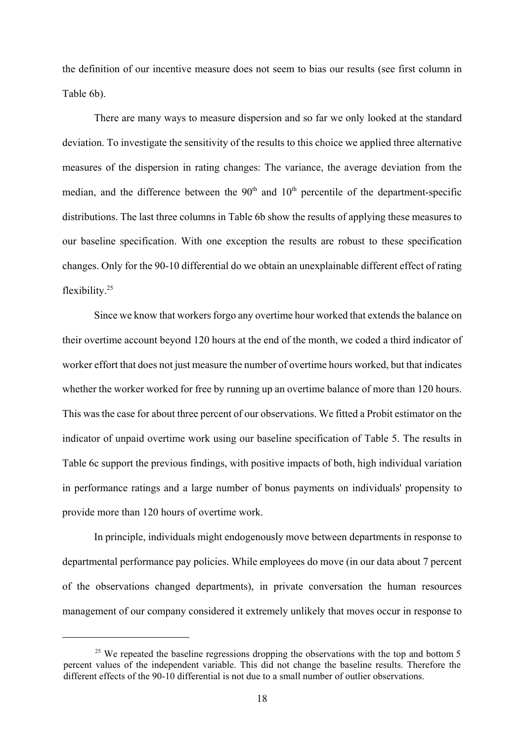the definition of our incentive measure does not seem to bias our results (see first column in Table 6b).

There are many ways to measure dispersion and so far we only looked at the standard deviation. To investigate the sensitivity of the results to this choice we applied three alternative measures of the dispersion in rating changes: The variance, the average deviation from the median, and the difference between the  $90<sup>th</sup>$  and  $10<sup>th</sup>$  percentile of the department-specific distributions. The last three columns in Table 6b show the results of applying these measures to our baseline specification. With one exception the results are robust to these specification changes. Only for the 90-10 differential do we obtain an unexplainable different effect of rating flexibility.<sup>25</sup>

Since we know that workers forgo any overtime hour worked that extends the balance on their overtime account beyond 120 hours at the end of the month, we coded a third indicator of worker effort that does not just measure the number of overtime hours worked, but that indicates whether the worker worked for free by running up an overtime balance of more than 120 hours. This was the case for about three percent of our observations. We fitted a Probit estimator on the indicator of unpaid overtime work using our baseline specification of Table 5. The results in Table 6c support the previous findings, with positive impacts of both, high individual variation in performance ratings and a large number of bonus payments on individuals' propensity to provide more than 120 hours of overtime work.

In principle, individuals might endogenously move between departments in response to departmental performance pay policies. While employees do move (in our data about 7 percent of the observations changed departments), in private conversation the human resources management of our company considered it extremely unlikely that moves occur in response to

 $25$  We repeated the baseline regressions dropping the observations with the top and bottom 5 percent values of the independent variable. This did not change the baseline results. Therefore the different effects of the 90-10 differential is not due to a small number of outlier observations.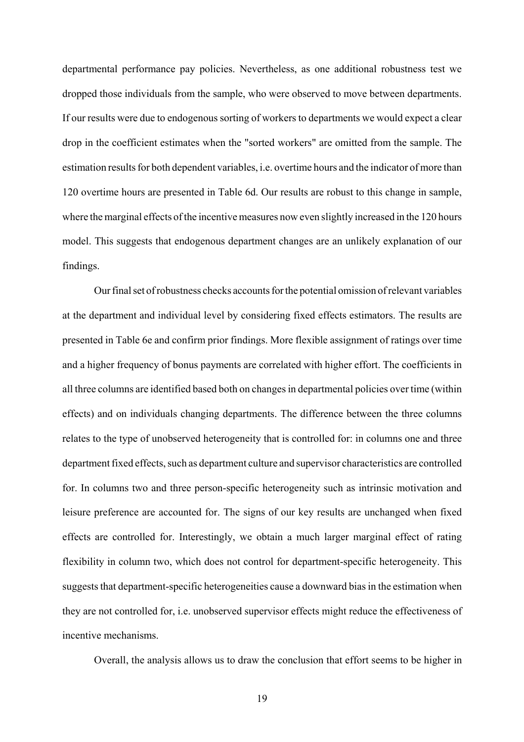departmental performance pay policies. Nevertheless, as one additional robustness test we dropped those individuals from the sample, who were observed to move between departments. If our results were due to endogenous sorting of workers to departments we would expect a clear drop in the coefficient estimates when the "sorted workers" are omitted from the sample. The estimation results for both dependent variables, i.e. overtime hours and the indicator of more than 120 overtime hours are presented in Table 6d. Our results are robust to this change in sample, where the marginal effects of the incentive measures now even slightly increased in the 120 hours model. This suggests that endogenous department changes are an unlikely explanation of our findings.

Our final set of robustness checks accounts for the potential omission of relevant variables at the department and individual level by considering fixed effects estimators. The results are presented in Table 6e and confirm prior findings. More flexible assignment of ratings over time and a higher frequency of bonus payments are correlated with higher effort. The coefficients in all three columns are identified based both on changes in departmental policies over time (within effects) and on individuals changing departments. The difference between the three columns relates to the type of unobserved heterogeneity that is controlled for: in columns one and three department fixed effects, such as department culture and supervisor characteristics are controlled for. In columns two and three person-specific heterogeneity such as intrinsic motivation and leisure preference are accounted for. The signs of our key results are unchanged when fixed effects are controlled for. Interestingly, we obtain a much larger marginal effect of rating flexibility in column two, which does not control for department-specific heterogeneity. This suggests that department-specific heterogeneities cause a downward bias in the estimation when they are not controlled for, i.e. unobserved supervisor effects might reduce the effectiveness of incentive mechanisms.

Overall, the analysis allows us to draw the conclusion that effort seems to be higher in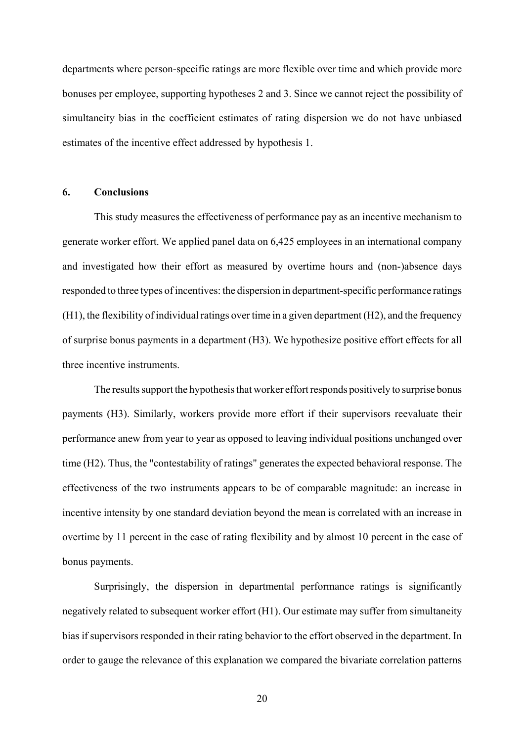departments where person-specific ratings are more flexible over time and which provide more bonuses per employee, supporting hypotheses 2 and 3. Since we cannot reject the possibility of simultaneity bias in the coefficient estimates of rating dispersion we do not have unbiased estimates of the incentive effect addressed by hypothesis 1.

#### **6. Conclusions**

This study measures the effectiveness of performance pay as an incentive mechanism to generate worker effort. We applied panel data on 6,425 employees in an international company and investigated how their effort as measured by overtime hours and (non-)absence days responded to three types of incentives: the dispersion in department-specific performance ratings (H1), the flexibility of individual ratings over time in a given department (H2), and the frequency of surprise bonus payments in a department (H3). We hypothesize positive effort effects for all three incentive instruments.

The results support the hypothesis that worker effort responds positively to surprise bonus payments (H3). Similarly, workers provide more effort if their supervisors reevaluate their performance anew from year to year as opposed to leaving individual positions unchanged over time (H2). Thus, the "contestability of ratings" generates the expected behavioral response. The effectiveness of the two instruments appears to be of comparable magnitude: an increase in incentive intensity by one standard deviation beyond the mean is correlated with an increase in overtime by 11 percent in the case of rating flexibility and by almost 10 percent in the case of bonus payments.

Surprisingly, the dispersion in departmental performance ratings is significantly negatively related to subsequent worker effort (H1). Our estimate may suffer from simultaneity bias if supervisors responded in their rating behavior to the effort observed in the department. In order to gauge the relevance of this explanation we compared the bivariate correlation patterns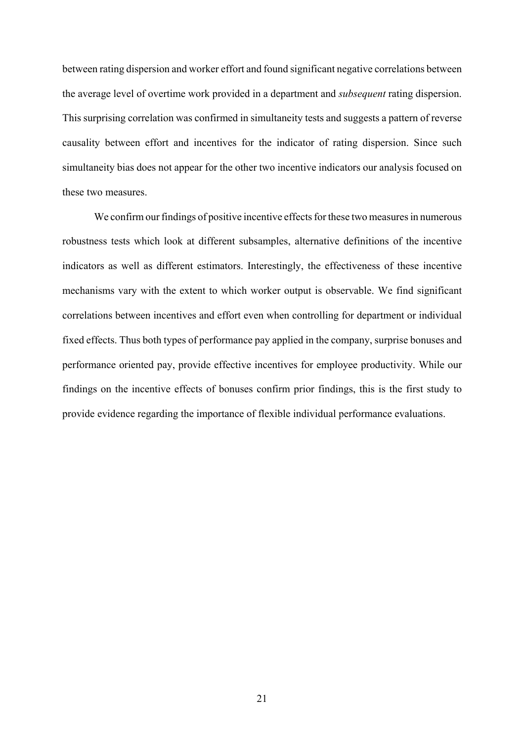between rating dispersion and worker effort and found significant negative correlations between the average level of overtime work provided in a department and *subsequent* rating dispersion. This surprising correlation was confirmed in simultaneity tests and suggests a pattern of reverse causality between effort and incentives for the indicator of rating dispersion. Since such simultaneity bias does not appear for the other two incentive indicators our analysis focused on these two measures.

We confirm our findings of positive incentive effects for these two measures in numerous robustness tests which look at different subsamples, alternative definitions of the incentive indicators as well as different estimators. Interestingly, the effectiveness of these incentive mechanisms vary with the extent to which worker output is observable. We find significant correlations between incentives and effort even when controlling for department or individual fixed effects. Thus both types of performance pay applied in the company, surprise bonuses and performance oriented pay, provide effective incentives for employee productivity. While our findings on the incentive effects of bonuses confirm prior findings, this is the first study to provide evidence regarding the importance of flexible individual performance evaluations.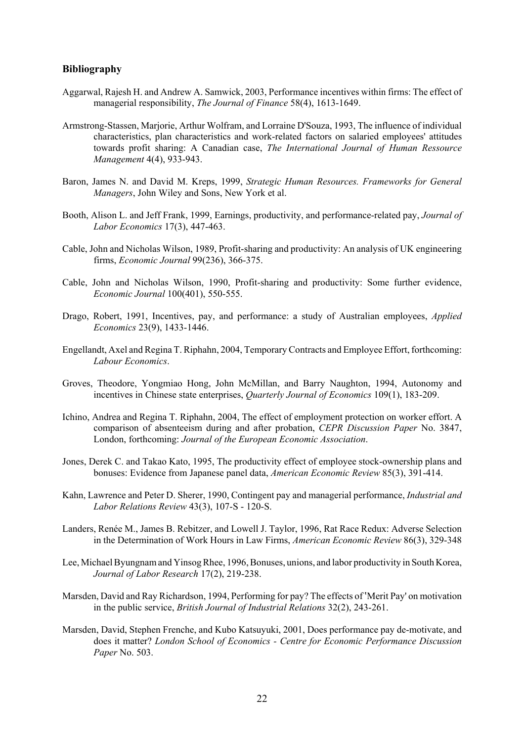#### **Bibliography**

- Aggarwal, Rajesh H. and Andrew A. Samwick, 2003, Performance incentives within firms: The effect of managerial responsibility, *The Journal of Finance* 58(4), 1613-1649.
- Armstrong-Stassen, Marjorie, Arthur Wolfram, and Lorraine D'Souza, 1993, The influence of individual characteristics, plan characteristics and work-related factors on salaried employees' attitudes towards profit sharing: A Canadian case, *The International Journal of Human Ressource Management* 4(4), 933-943.
- Baron, James N. and David M. Kreps, 1999, *Strategic Human Resources. Frameworks for General Managers*, John Wiley and Sons, New York et al.
- Booth, Alison L. and Jeff Frank, 1999, Earnings, productivity, and performance-related pay, *Journal of Labor Economics* 17(3), 447-463.
- Cable, John and Nicholas Wilson, 1989, Profit-sharing and productivity: An analysis of UK engineering firms, *Economic Journal* 99(236), 366-375.
- Cable, John and Nicholas Wilson, 1990, Profit-sharing and productivity: Some further evidence, *Economic Journal* 100(401), 550-555.
- Drago, Robert, 1991, Incentives, pay, and performance: a study of Australian employees, *Applied Economics* 23(9), 1433-1446.
- Engellandt, Axel and Regina T. Riphahn, 2004, Temporary Contracts and Employee Effort, forthcoming: *Labour Economics*.
- Groves, Theodore, Yongmiao Hong, John McMillan, and Barry Naughton, 1994, Autonomy and incentives in Chinese state enterprises, *Quarterly Journal of Economics* 109(1), 183-209.
- Ichino, Andrea and Regina T. Riphahn, 2004, The effect of employment protection on worker effort. A comparison of absenteeism during and after probation, *CEPR Discussion Paper* No. 3847, London, forthcoming: *Journal of the European Economic Association*.
- Jones, Derek C. and Takao Kato, 1995, The productivity effect of employee stock-ownership plans and bonuses: Evidence from Japanese panel data, *American Economic Review* 85(3), 391-414.
- Kahn, Lawrence and Peter D. Sherer, 1990, Contingent pay and managerial performance, *Industrial and Labor Relations Review* 43(3), 107-S - 120-S.
- Landers, Renée M., James B. Rebitzer, and Lowell J. Taylor, 1996, Rat Race Redux: Adverse Selection in the Determination of Work Hours in Law Firms, *American Economic Review* 86(3), 329-348
- Lee, Michael Byungnam and Yinsog Rhee, 1996, Bonuses, unions, and labor productivity in South Korea, *Journal of Labor Research* 17(2), 219-238.
- Marsden, David and Ray Richardson, 1994, Performing for pay? The effects of 'Merit Pay' on motivation in the public service, *British Journal of Industrial Relations* 32(2), 243-261.
- Marsden, David, Stephen Frenche, and Kubo Katsuyuki, 2001, Does performance pay de-motivate, and does it matter? *London School of Economics - Centre for Economic Performance Discussion Paper* No. 503.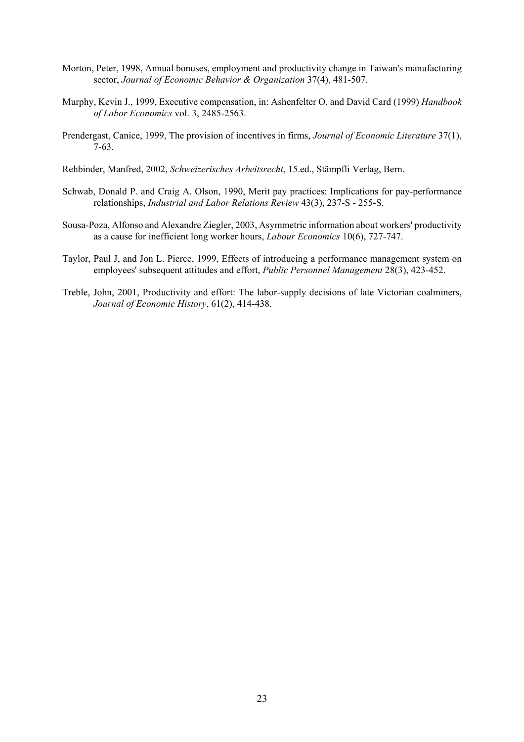- Morton, Peter, 1998, Annual bonuses, employment and productivity change in Taiwan's manufacturing sector, *Journal of Economic Behavior & Organization* 37(4), 481-507.
- Murphy, Kevin J., 1999, Executive compensation, in: Ashenfelter O. and David Card (1999) *Handbook of Labor Economics* vol. 3, 2485-2563.
- Prendergast, Canice, 1999, The provision of incentives in firms, *Journal of Economic Literature* 37(1), 7-63.
- Rehbinder, Manfred, 2002, *Schweizerisches Arbeitsrecht*, 15.ed., Stämpfli Verlag, Bern.
- Schwab, Donald P. and Craig A. Olson, 1990, Merit pay practices: Implications for pay-performance relationships, *Industrial and Labor Relations Review* 43(3), 237-S - 255-S.
- Sousa-Poza, Alfonso and Alexandre Ziegler, 2003, Asymmetric information about workers' productivity as a cause for inefficient long worker hours, *Labour Economics* 10(6), 727-747.
- Taylor, Paul J, and Jon L. Pierce, 1999, Effects of introducing a performance management system on employees' subsequent attitudes and effort, *Public Personnel Management* 28(3), 423-452.
- Treble, John, 2001, Productivity and effort: The labor-supply decisions of late Victorian coalminers, *Journal of Economic History*, 61(2), 414-438.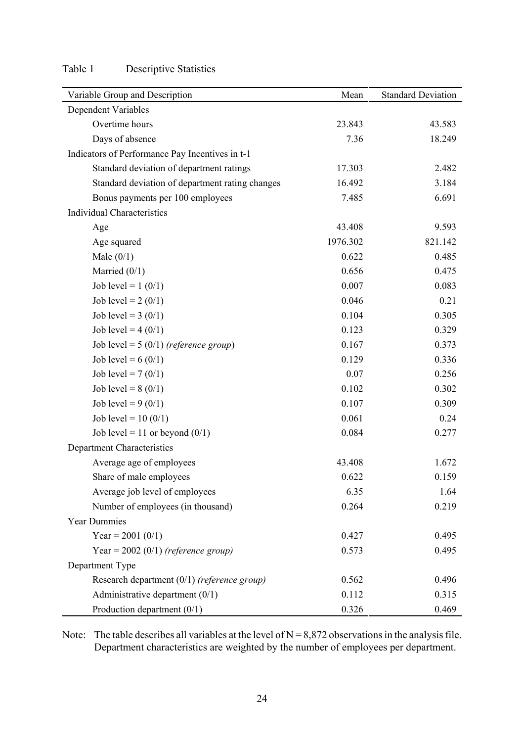| Table 1 | <b>Descriptive Statistics</b> |  |
|---------|-------------------------------|--|
|---------|-------------------------------|--|

| Variable Group and Description                  | Mean     | <b>Standard Deviation</b> |
|-------------------------------------------------|----------|---------------------------|
| Dependent Variables                             |          |                           |
| Overtime hours                                  | 23.843   | 43.583                    |
| Days of absence                                 | 7.36     | 18.249                    |
| Indicators of Performance Pay Incentives in t-1 |          |                           |
| Standard deviation of department ratings        | 17.303   | 2.482                     |
| Standard deviation of department rating changes | 16.492   | 3.184                     |
| Bonus payments per 100 employees                | 7.485    | 6.691                     |
| <b>Individual Characteristics</b>               |          |                           |
| Age                                             | 43.408   | 9.593                     |
| Age squared                                     | 1976.302 | 821.142                   |
| Male $(0/1)$                                    | 0.622    | 0.485                     |
| Married $(0/1)$                                 | 0.656    | 0.475                     |
| Job level = $1(0/1)$                            | 0.007    | 0.083                     |
| Job level = $2(0/1)$                            | 0.046    | 0.21                      |
| Job level = $3(0/1)$                            | 0.104    | 0.305                     |
| Job level = $4(0/1)$                            | 0.123    | 0.329                     |
| Job level = $5(0/1)$ (reference group)          | 0.167    | 0.373                     |
| Job level = $6(0/1)$                            | 0.129    | 0.336                     |
| Job level = $7(0/1)$                            | 0.07     | 0.256                     |
| Job level = $8(0/1)$                            | 0.102    | 0.302                     |
| Job level = $9(0/1)$                            | 0.107    | 0.309                     |
| Job level = $10(0/1)$                           | 0.061    | 0.24                      |
| Job level = 11 or beyond $(0/1)$                | 0.084    | 0.277                     |
| Department Characteristics                      |          |                           |
| Average age of employees                        | 43.408   | 1.672                     |
| Share of male employees                         | 0.622    | 0.159                     |
| Average job level of employees                  | 6.35     | 1.64                      |
| Number of employees (in thousand)               | 0.264    | 0.219                     |
| <b>Year Dummies</b>                             |          |                           |
| Year = 2001 $(0/1)$                             | 0.427    | 0.495                     |
| Year = $2002(0/1)$ (reference group)            | 0.573    | 0.495                     |
| Department Type                                 |          |                           |
| Research department (0/1) (reference group)     | 0.562    | 0.496                     |
| Administrative department $(0/1)$               | 0.112    | 0.315                     |
| Production department $(0/1)$                   | 0.326    | 0.469                     |

Note: The table describes all variables at the level of  $N = 8,872$  observations in the analysis file. Department characteristics are weighted by the number of employees per department.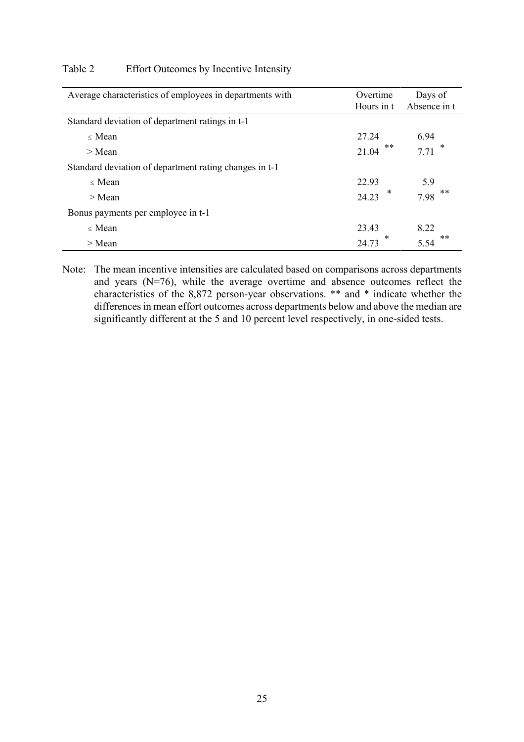| Table 2 | Effort Outcomes by Incentive Intensity |  |  |
|---------|----------------------------------------|--|--|
|         |                                        |  |  |
|         |                                        |  |  |

| Average characteristics of employees in departments with | Overtime<br>Hours in t | Days of<br>Absence in t |
|----------------------------------------------------------|------------------------|-------------------------|
| Standard deviation of department ratings in t-1          |                        |                         |
| $\langle$ Mean                                           | 27.24                  | 6.94                    |
| $>$ Mean                                                 | **<br>21.04            | ∗<br>7.71               |
| Standard deviation of department rating changes in t-1   |                        |                         |
| $\langle$ Mean                                           | 22.93                  | 5.9                     |
| $>$ Mean                                                 | ∗<br>24.23             | **<br>7.98              |
| Bonus payments per employee in t-1                       |                        |                         |
| $\langle$ Mean                                           | 23.43                  | 8 2 2                   |
| $>$ Mean                                                 | 24.73                  | $***$<br>5.54           |

Note: The mean incentive intensities are calculated based on comparisons across departments and years (N=76), while the average overtime and absence outcomes reflect the characteristics of the 8,872 person-year observations. \*\* and \* indicate whether the differences in mean effort outcomes across departments below and above the median are significantly different at the 5 and 10 percent level respectively, in one-sided tests.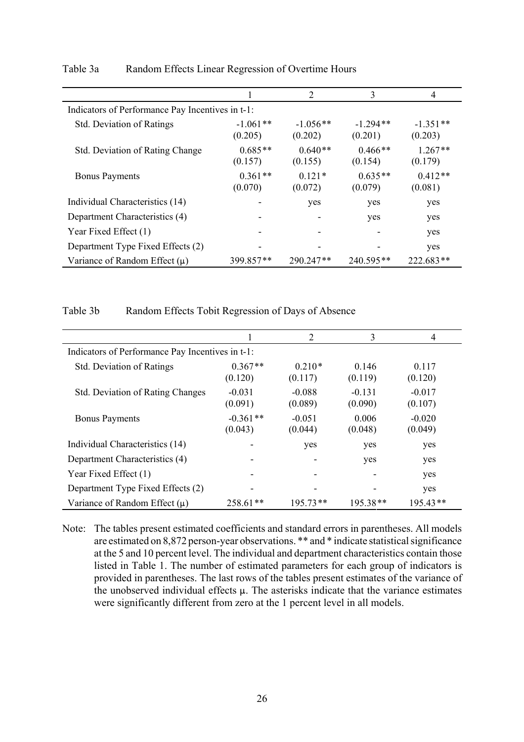|                                                  |                       | 2                     | 3                     | 4                     |
|--------------------------------------------------|-----------------------|-----------------------|-----------------------|-----------------------|
| Indicators of Performance Pay Incentives in t-1: |                       |                       |                       |                       |
| <b>Std. Deviation of Ratings</b>                 | $-1.061**$<br>(0.205) | $-1.056**$<br>(0.202) | $-1.294**$<br>(0.201) | $-1.351**$<br>(0.203) |
| <b>Std. Deviation of Rating Change</b>           | $0.685**$<br>(0.157)  | $0.640**$<br>(0.155)  | $0.466**$<br>(0.154)  | $1.267**$<br>(0.179)  |
| <b>Bonus Payments</b>                            | $0.361**$<br>(0.070)  | $0.121*$<br>(0.072)   | $0.635**$<br>(0.079)  | $0.412**$<br>(0.081)  |
| Individual Characteristics (14)                  |                       | yes                   | yes                   | yes                   |
| Department Characteristics (4)                   |                       |                       | yes                   | yes                   |
| Year Fixed Effect (1)                            |                       |                       |                       | yes                   |
| Department Type Fixed Effects (2)                |                       |                       |                       | yes                   |
| Variance of Random Effect $(\mu)$                | 399.857**             | 290.247**             | 240.595**             | 222.683**             |

## Table 3a Random Effects Linear Regression of Overtime Hours

Table 3b Random Effects Tobit Regression of Days of Absence

|                                                  |                       | 2                   | 3                   | 4                   |  |
|--------------------------------------------------|-----------------------|---------------------|---------------------|---------------------|--|
| Indicators of Performance Pay Incentives in t-1: |                       |                     |                     |                     |  |
| <b>Std. Deviation of Ratings</b>                 | $0.367**$<br>(0.120)  | $0.210*$<br>(0.117) | 0.146<br>(0.119)    | 0.117<br>(0.120)    |  |
| <b>Std. Deviation of Rating Changes</b>          | $-0.031$<br>(0.091)   | $-0.088$<br>(0.089) | $-0.131$<br>(0.090) | $-0.017$<br>(0.107) |  |
| <b>Bonus Payments</b>                            | $-0.361**$<br>(0.043) | $-0.051$<br>(0.044) | 0.006<br>(0.048)    | $-0.020$<br>(0.049) |  |
| Individual Characteristics (14)                  |                       | yes                 | yes                 | yes                 |  |
| Department Characteristics (4)                   |                       |                     | yes                 | yes                 |  |
| Year Fixed Effect (1)                            |                       |                     |                     | yes                 |  |
| Department Type Fixed Effects (2)                |                       |                     |                     | yes                 |  |
| Variance of Random Effect $(\mu)$                | 258.61**              | 195 73**            | 195 38**            | $19543**$           |  |

Note: The tables present estimated coefficients and standard errors in parentheses. All models are estimated on 8,872 person-year observations. \*\* and \* indicate statistical significance at the 5 and 10 percent level. The individual and department characteristics contain those listed in Table 1. The number of estimated parameters for each group of indicators is provided in parentheses. The last rows of the tables present estimates of the variance of the unobserved individual effects  $\mu$ . The asterisks indicate that the variance estimates were significantly different from zero at the 1 percent level in all models.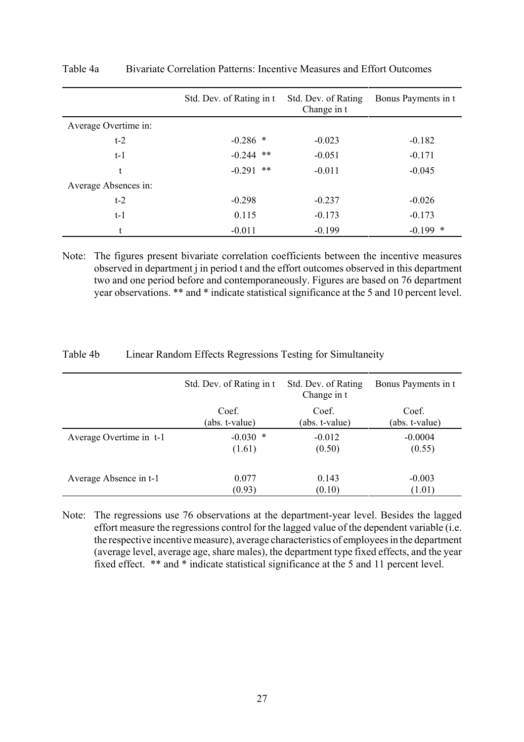|                      | Std. Dev. of Rating in t | Std. Dev. of Rating<br>Change in t | Bonus Payments in t |
|----------------------|--------------------------|------------------------------------|---------------------|
| Average Overtime in: |                          |                                    |                     |
| $t-2$                | $-0.286$ *               | $-0.023$                           | $-0.182$            |
| $t-1$                | $-0.244$ **              | $-0.051$                           | $-0.171$            |
| t                    | $-0.291$ **              | $-0.011$                           | $-0.045$            |
| Average Absences in: |                          |                                    |                     |
| $t-2$                | $-0.298$                 | $-0.237$                           | $-0.026$            |
| $t-1$                | 0.115                    | $-0.173$                           | $-0.173$            |
| t                    | $-0.011$                 | $-0.199$                           | $-0.199$ *          |

Table 4a Bivariate Correlation Patterns: Incentive Measures and Effort Outcomes

Note: The figures present bivariate correlation coefficients between the incentive measures observed in department j in period t and the effort outcomes observed in this department two and one period before and contemporaneously. Figures are based on 76 department year observations. \*\* and \* indicate statistical significance at the 5 and 10 percent level.

|                         | Std. Dev. of Rating in t. | Std. Dev. of Rating<br>Change in t | Bonus Payments in t |
|-------------------------|---------------------------|------------------------------------|---------------------|
|                         | Coef.                     | Coef.                              | Coef.               |
|                         | (abs. t-value)            | (abs. t-value)                     | (abs. t-value)      |
| Average Overtime in t-1 | $-0.030$ *                | $-0.012$                           | $-0.0004$           |
|                         | (1.61)                    | (0.50)                             | (0.55)              |
| Average Absence in t-1  | 0.077                     | 0.143                              | $-0.003$            |
|                         | (0.93)                    | (0.10)                             | (1.01)              |

Table 4b Linear Random Effects Regressions Testing for Simultaneity

Note: The regressions use 76 observations at the department-year level. Besides the lagged effort measure the regressions control for the lagged value of the dependent variable (i.e. the respective incentive measure), average characteristics of employees in the department (average level, average age, share males), the department type fixed effects, and the year fixed effect. \*\* and \* indicate statistical significance at the 5 and 11 percent level.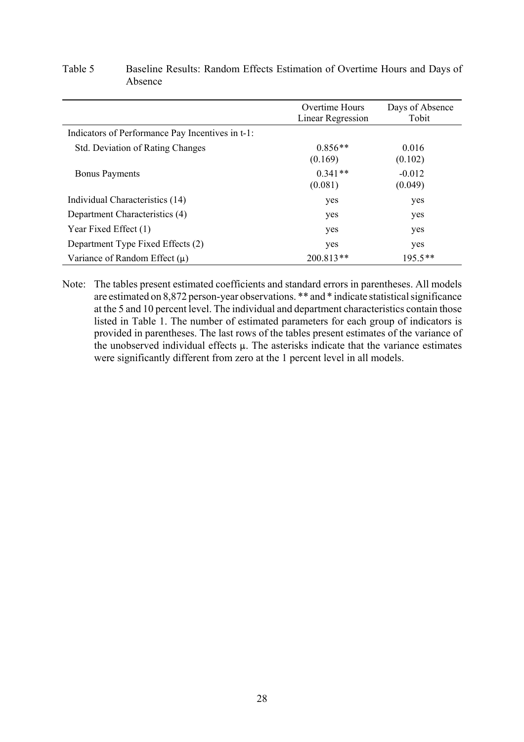|                                                  | Overtime Hours<br>Linear Regression | Days of Absence<br>Tobit |
|--------------------------------------------------|-------------------------------------|--------------------------|
| Indicators of Performance Pay Incentives in t-1: |                                     |                          |
| <b>Std. Deviation of Rating Changes</b>          | $0.856**$<br>(0.169)                | 0.016<br>(0.102)         |
| <b>Bonus Payments</b>                            | $0.341**$<br>(0.081)                | $-0.012$<br>(0.049)      |
| Individual Characteristics (14)                  | yes                                 | yes                      |
| Department Characteristics (4)                   | yes                                 | yes                      |
| Year Fixed Effect (1)                            | yes                                 | yes                      |
| Department Type Fixed Effects (2)                | yes                                 | yes                      |
| Variance of Random Effect $(\mu)$                | $200.813**$                         | $195.5**$                |

## Table 5 Baseline Results: Random Effects Estimation of Overtime Hours and Days of Absence

Note: The tables present estimated coefficients and standard errors in parentheses. All models are estimated on 8,872 person-year observations. \*\* and \* indicate statistical significance at the 5 and 10 percent level. The individual and department characteristics contain those listed in Table 1. The number of estimated parameters for each group of indicators is provided in parentheses. The last rows of the tables present estimates of the variance of the unobserved individual effects  $\mu$ . The asterisks indicate that the variance estimates were significantly different from zero at the 1 percent level in all models.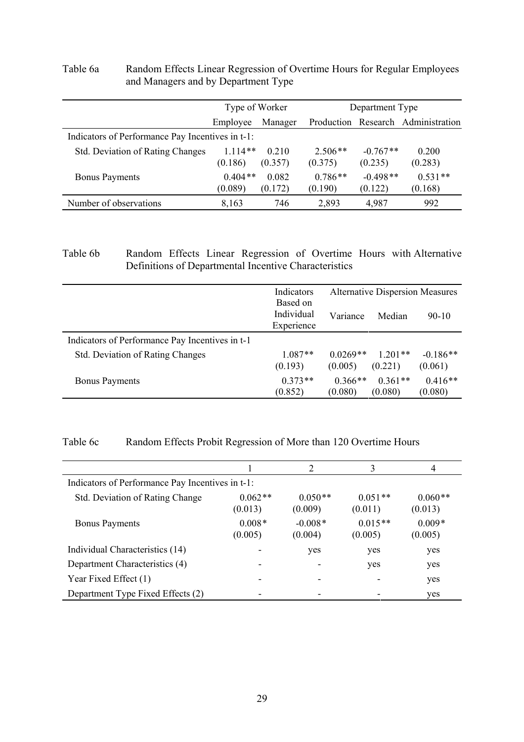Table 6a Random Effects Linear Regression of Overtime Hours for Regular Employees and Managers and by Department Type

|                                                  | Type of Worker       |                  | Department Type      |                       |                                    |
|--------------------------------------------------|----------------------|------------------|----------------------|-----------------------|------------------------------------|
|                                                  | Employee             | Manager          |                      |                       | Production Research Administration |
| Indicators of Performance Pay Incentives in t-1: |                      |                  |                      |                       |                                    |
| <b>Std. Deviation of Rating Changes</b>          | $1114**$<br>(0.186)  | 0.210<br>(0.357) | $2.506**$<br>(0.375) | $-0.767**$<br>(0.235) | 0.200<br>(0.283)                   |
| <b>Bonus Payments</b>                            | $0.404**$<br>(0.089) | 0.082<br>(0.172) | $0.786**$<br>(0.190) | $-0.498**$<br>(0.122) | $0.531**$<br>(0.168)               |
| Number of observations                           | 8,163                | 746              | 2,893                | 4,987                 | 992                                |

## Table 6b Random Effects Linear Regression of Overtime Hours with Alternative Definitions of Departmental Incentive Characteristics

|                                                 | Indicators                           | <b>Alternative Dispersion Measures</b> |                      |                       |
|-------------------------------------------------|--------------------------------------|----------------------------------------|----------------------|-----------------------|
|                                                 | Based on<br>Individual<br>Experience | Variance                               | Median               | $90 - 10$             |
| Indicators of Performance Pay Incentives in t-1 |                                      |                                        |                      |                       |
| <b>Std. Deviation of Rating Changes</b>         | $1.087**$<br>(0.193)                 | $0.0269**$<br>(0.005)                  | $1.201**$<br>(0.221) | $-0.186**$<br>(0.061) |
| <b>Bonus Payments</b>                           | $0.373**$<br>(0.852)                 | $0.366**$<br>(0.080)                   | $0.361**$<br>(0.080) | $0.416**$<br>(0.080)  |

# Table 6c Random Effects Probit Regression of More than 120 Overtime Hours

|                                                  |                      |                      | 3                    |                      |
|--------------------------------------------------|----------------------|----------------------|----------------------|----------------------|
| Indicators of Performance Pay Incentives in t-1: |                      |                      |                      |                      |
| <b>Std. Deviation of Rating Change</b>           | $0.062**$<br>(0.013) | $0.050**$<br>(0.009) | $0.051**$<br>(0.011) | $0.060**$<br>(0.013) |
| <b>Bonus Payments</b>                            | $0.008*$<br>(0.005)  | $-0.008*$<br>(0.004) | $0.015**$<br>(0.005) | $0.009*$<br>(0.005)  |
| Individual Characteristics (14)                  |                      | yes                  | yes                  | yes                  |
| Department Characteristics (4)                   |                      |                      | yes                  | yes                  |
| Year Fixed Effect (1)                            |                      | ۰                    |                      | yes                  |
| Department Type Fixed Effects (2)                |                      |                      |                      | yes                  |